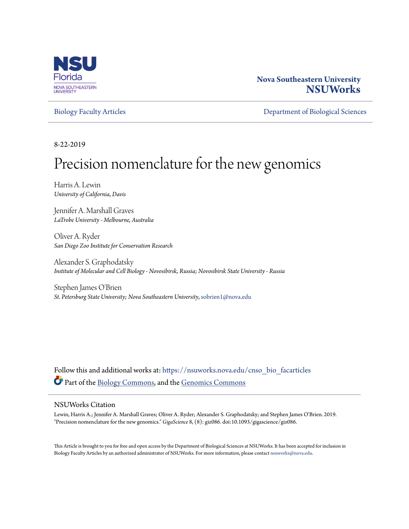

# **Nova Southeastern University [NSUWorks](https://nsuworks.nova.edu?utm_source=nsuworks.nova.edu%2Fcnso_bio_facarticles%2F964&utm_medium=PDF&utm_campaign=PDFCoverPages)**

[Biology Faculty Articles](https://nsuworks.nova.edu/cnso_bio_facarticles?utm_source=nsuworks.nova.edu%2Fcnso_bio_facarticles%2F964&utm_medium=PDF&utm_campaign=PDFCoverPages) [Department of Biological Sciences](https://nsuworks.nova.edu/cnso_bio?utm_source=nsuworks.nova.edu%2Fcnso_bio_facarticles%2F964&utm_medium=PDF&utm_campaign=PDFCoverPages)

8-22-2019

# Precision nomenclature for the new genomics

Harris A. Lewin *University of California, Davis*

Jennifer A. Marshall Graves *LaTrobe University - Melbourne, Australia*

Oliver A. Ryder *San Diego Zoo Institute for Conservation Research*

Alexander S. Graphodatsky *Institute of Molecular and Cell Biology - Novosibirsk, Russia; Novosibirsk State University - Russia*

Stephen James O'Brien *St. Petersburg State University; Nova Southeastern University*, sobrien1@nova.edu

Follow this and additional works at: [https://nsuworks.nova.edu/cnso\\_bio\\_facarticles](https://nsuworks.nova.edu/cnso_bio_facarticles?utm_source=nsuworks.nova.edu%2Fcnso_bio_facarticles%2F964&utm_medium=PDF&utm_campaign=PDFCoverPages) Part of the [Biology Commons,](http://network.bepress.com/hgg/discipline/41?utm_source=nsuworks.nova.edu%2Fcnso_bio_facarticles%2F964&utm_medium=PDF&utm_campaign=PDFCoverPages) and the [Genomics Commons](http://network.bepress.com/hgg/discipline/30?utm_source=nsuworks.nova.edu%2Fcnso_bio_facarticles%2F964&utm_medium=PDF&utm_campaign=PDFCoverPages)

# NSUWorks Citation

Lewin, Harris A.; Jennifer A. Marshall Graves; Oliver A. Ryder; Alexander S. Graphodatsky; and Stephen James O'Brien. 2019. "Precision nomenclature for the new genomics." *GigaScience* 8, (8): giz086. doi:10.1093/gigascience/giz086.

This Article is brought to you for free and open access by the Department of Biological Sciences at NSUWorks. It has been accepted for inclusion in Biology Faculty Articles by an authorized administrator of NSUWorks. For more information, please contact [nsuworks@nova.edu](mailto:nsuworks@nova.edu).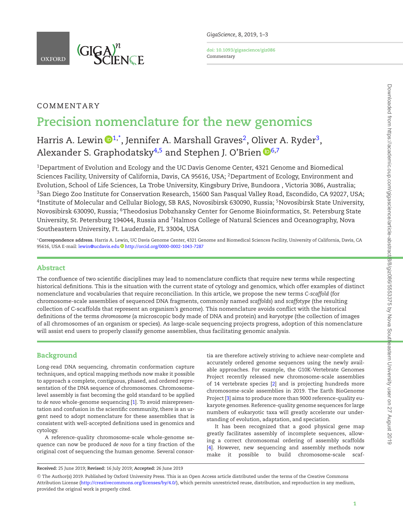

<span id="page-1-2"></span>**doi: 10.1093/gigascience/giz086** Commentary

# COMMENTARY

# **Precision nomenclature for the new genomics**

Harris A. Lewin  $\mathbf{D}^{1,^*}$  $\mathbf{D}^{1,^*}$  $\mathbf{D}^{1,^*}$  $\mathbf{D}^{1,^*}$  $\mathbf{D}^{1,^*}$ , Jennifer A. Marshall Graves $^2$ , Oliver A. Ryder $^3$ , Alexander S. Graphodatsky<sup>[4](#page-1-4)[,5](#page-1-5)</sup> and Stephen J. O'Brien  $\mathbb{D}^{6,7}$  $\mathbb{D}^{6,7}$  $\mathbb{D}^{6,7}$  $\mathbb{D}^{6,7}$ 

<span id="page-1-3"></span><span id="page-1-0"></span><sup>1</sup>Department of Evolution and Ecology and the UC Davis Genome Center, 4321 Genome and Biomedical Sciences Facility, University of California, Davis, CA 95616, USA; 2Department of Ecology, Environment and Evolution, School of Life Sciences, La Trobe University, Kingsbury Drive, Bundoora , Victoria 3086, Australia; 3San Diego Zoo Institute for Conservation Research, 15600 San Pasqual Valley Road, Escondido, CA 92027, USA; 4Institute of Molecular and Cellular Biology, SB RAS, Novosibirsk 630090, Russia; 5Novosibirsk State University, Novosibirsk 630090, Russia; 6Theodosius Dobzhansky Center for Genome Bioinformatics, St. Petersburg State University, St. Petersburg 194044, Russia and 7Halmos College of Natural Sciences and Oceanography, Nova Southeastern University, Ft. Lauderdale, FL 33004, USA

<span id="page-1-7"></span><span id="page-1-6"></span><span id="page-1-4"></span><span id="page-1-1"></span>∗**Correspondence address.** Harris A. Lewin, UC Davis Genome Center, 4321 Genome and Biomedical Sciences Facility, University of California, Davis, CA 95616, USA E-mail: [lewin@ucdavis.edu](mailto:lewin@ucdavis.edu) <http://orcid.org/0000-0002-1043-7287>

# **Abstract**

The confluence of two scientific disciplines may lead to nomenclature conflicts that require new terms while respecting historical definitions. This is the situation with the current state of cytology and genomics, which offer examples of distinct nomenclature and vocabularies that require reconciliation. In this article, we propose the new terms *C-scaffold* (for chromosome-scale assemblies of sequenced DNA fragments, commonly named *scaffolds*) and *scaffotype* (the resulting collection of C-scaffolds that represent an organism's genome). This nomenclature avoids conflict with the historical definitions of the terms *chromosome* (a microscopic body made of DNA and protein) and *karyotype* (the collection of images of all chromosomes of an organism or species). As large-scale sequencing projects progress, adoption of this nomenclature will assist end users to properly classify genome assemblies, thus facilitating genomic analysis.

# **Background**

Long-read DNA sequencing, chromatin conformation capture techniques, and optical mapping methods now make it possible to approach a complete, contiguous, phased, and ordered representation of the DNA sequence of chromosomes. Chromosomelevel assembly is fast becoming the gold standard to be applied to *de novo* whole-genome sequencing [\[1\]](#page-3-0). To avoid misrepresentation and confusion in the scientific community, there is an urgent need to adopt nomenclature for these assemblies that is consistent with well-accepted definitions used in genomics and cytology.

A reference-quality chromosome-scale whole-genome sequence can now be produced *de novo* for a tiny fraction of the original cost of sequencing the human genome. Several consor<span id="page-1-5"></span>tia are therefore actively striving to achieve near-complete and accurately ordered genome sequences using the newly available approaches. For example, the G10K-Vertebrate Genomes Project recently released new chromosome-scale assemblies of 14 vertebrate species [\[2\]](#page-3-1) and is projecting hundreds more chromosome-scale assemblies in 2019. The Earth BioGenome Project [\[3\]](#page-3-2) aims to produce more than 9000 reference-quality eukaryote genomes. Reference-quality genome sequences for large numbers of eukaryotic taxa will greatly accelerate our understanding of evolution, adaptation, and speciation.

It has been recognized that a good physical gene map greatly facilitates assembly of incomplete sequences, allowing a correct chromosomal ordering of assembly scaffolds [\[4\]](#page-3-3). However, new sequencing and assembly methods now make it possible to build chromosome-scale scaf-

**Received:** 25 June 2019; **Revised:** 16 July 2019; **Accepted:** 26 June 2019

<sup>C</sup> The Author(s) 2019. Published by Oxford University Press. This is an Open Access article distributed under the terms of the Creative Commons Attribution License [\(http://creativecommons.org/licenses/by/4.0/\)](http://creativecommons.org/licenses/by/4.0/), which permits unrestricted reuse, distribution, and reproduction in any medium, provided the original work is properly cited.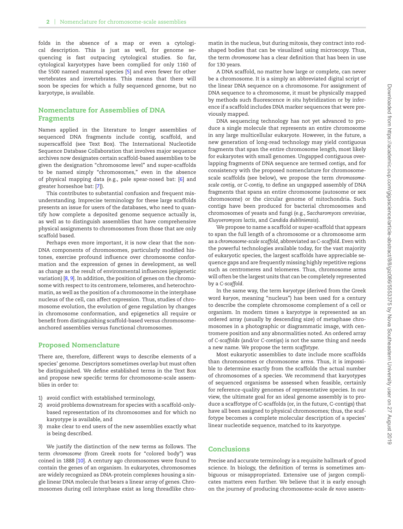folds in the absence of a map or even a cytological description. This is just as well, for genome sequencing is fast outpacing cytological studies. So far, cytological karyotypes have been complied for only 1160 of the 5500 named mammal species [\[5\]](#page-3-4) and even fewer for other vertebrates and invertebrates. This means that there will soon be species for which a fully sequenced genome, but no karyotype, is available.

# **Nomenclature for Assemblies of DNA Fragments**

Names applied in the literature to longer assemblies of sequenced DNA fragments include contig, scaffold, and superscaffold (see Text Box). The International Nucleotide Sequence Database Collaboration that involves major sequence archives now designates certain scaffold-based assemblies to be given the designation "chromosome level" and super-scaffolds to be named simply "chromosomes," even in the absence of physical mapping data (e.g., pale spear-nosed bat: [\[6\]](#page-3-5) and greater horseshoe bat: [\[7\]](#page-3-6)).

This contributes to substantial confusion and frequent misunderstanding. Imprecise terminology for these large scaffolds presents an issue for users of the databases, who need to quantify how complete a deposited genome sequence actually is, as well as to distinguish assemblies that have comprehensive physical assignments to chromosomes from those that are only scaffold based.

Perhaps even more important, it is now clear that the non-DNA components of chromosomes, particularly modified histones, exercise profound influence over chromosome conformation and the expression of genes in development, as well as change as the result of environmental influences (epigenetic variation) [\[8,](#page-3-7) [9\]](#page-3-8). In addition, the position of genes on the chromosome with respect to its centromere, telomeres, and heterochromatin, as well as the position of a chromosome in the interphase nucleus of the cell, can affect expression. Thus, studies of chromosome evolution, the evolution of gene regulation by changes in chromosome conformation, and epigenetics all require or benefit from distinguishing scaffold-based versus chromosomeanchored assemblies versus functional chromosomes.

# **Proposed Nomenclature**

There are, therefore, different ways to describe elements of a species' genome. Descriptors sometimes overlap but must often be distinguished. We define established terms in the Text Box and propose new specific terms for chromosome-scale assemblies in order to:

- 1) avoid conflict with established terminology,
- 2) avoid problems downstream for species with a scaffold-onlybased representation of its chromosomes and for which no karyotype is available, and
- 3) make clear to end users of the new assemblies exactly what is being described.

We justify the distinction of the new terms as follows. The term *chromosome* (from Greek roots for "colored body") was coined in 1888 [\[10\]](#page-3-9). A century ago chromosomes were found to contain the genes of an organism. In eukaryotes, chromosomes are widely recognized as DNA-protein complexes housing a single linear DNA molecule that bears a linear array of genes. Chromosomes during cell interphase exist as long threadlike chromatin in the nucleus, but during mitosis, they contract into rodshaped bodies that can be visualized using microscopy. Thus, the term *chromosome* has a clear definition that has been in use for 130 years.

A DNA scaffold, no matter how large or complete, can never be a chromosome. It is a simply an abbreviated digital script of the linear DNA sequence on a chromosome. For assignment of DNA sequence to a chromosome, it must be physically mapped by methods such fluorescence *in situ* hybridization or by inference if a scaffold includes DNA marker sequences that were previously mapped.

DNA sequencing technology has not yet advanced to produce a single molecule that represents an entire chromosome in any large multicellular eukaryote. However, in the future, a new generation of long-read technology may yield contiguous fragments that span the entire chromosome length, most likely for eukaryotes with small genomes. Ungapped contiguous overlapping fragments of DNA sequence are termed *contigs*, and for consistency with the proposed nomenclature for chromosomescale scaffolds (see below), we propose the term *chromosomescale contig,* or *C-contig,* to define an ungapped assembly of DNA fragments that spans an entire chromosome (autosome or sex chromosome) or the circular genome of mitochondria. Such contigs have been produced for bacterial chromosomes and chromosomes of yeasts and fungi (e.g., S*accharomyces cerevisiae*, *Kluyveromyces lactis*, and *Candida dubliniensis*).

We propose to name a scaffold or super-scaffold that appears to span the full length of a chromosome or a chromosome arm as a *chromosome-scale scaffold*, abbreviated as *C-scaffold***.** Even with the powerful technologies available today, for the vast majority of eukaryotic species, the largest scaffolds have appreciable sequence gaps and are frequently missing highly repetitive regions such as centromeres and telomeres. Thus, chromosome arms will often be the largest units that can be completely represented by a *C-scaffold*.

In the same way, the term *karyotype* (derived from the Greek word *karyon*, meaning "nucleus") has been used for a century to describe the complete chromosome complement of a cell or organism. In modern times a karyotype is represented as an ordered array (usually by descending size) of metaphase chromosomes in a photographic or diagrammatic image, with centromere position and any abnormalities noted. An ordered array of *C-scaffolds* (and/or *C-contigs*) is not the same thing and needs a new name. We propose the term *scaffotype*.

Most eukaryotic assemblies to date include more scaffolds than chromosomes or chromosome arms. Thus, it is impossible to determine exactly from the scaffolds the actual number of chromosomes of a species. We recommend that karyotypes of sequenced organisms be assessed when feasible, certainly for reference-quality genomes of representative species. In our view, the ultimate goal for an ideal genome assembly is to produce a scaffotype of C-scaffolds (or, in the future, C-contigs) that have all been assigned to physical chromosomes; thus, the scaffotype becomes a complete molecular description of a species' linear nucleotide sequence, matched to its karyotype.

#### **Conclusions**

Precise and accurate terminology is a requisite hallmark of good science. In biology, the definition of terms is sometimes ambiguous or misappropriated. Extensive use of jargon complicates matters even further. We believe that it is early enough on the journey of producing chromosome-scale *de novo* assem